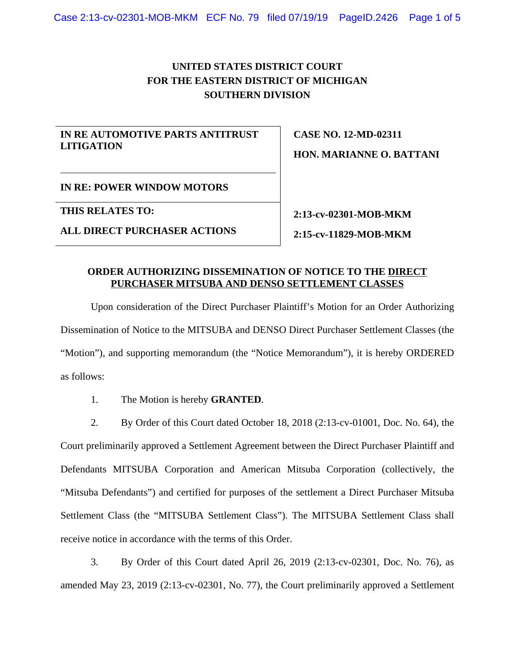## **UNITED STATES DISTRICT COURT FOR THE EASTERN DISTRICT OF MICHIGAN SOUTHERN DIVISION**

## **IN RE AUTOMOTIVE PARTS ANTITRUST LITIGATION**

**CASE NO. 12-MD-02311 HON. MARIANNE O. BATTANI**

**IN RE: POWER WINDOW MOTORS**

**THIS RELATES TO:** 

**ALL DIRECT PURCHASER ACTIONS**

**2:13-cv-02301-MOB-MKM 2:15-cv-11829-MOB-MKM**

## **ORDER AUTHORIZING DISSEMINATION OF NOTICE TO THE DIRECT PURCHASER MITSUBA AND DENSO SETTLEMENT CLASSES**

Upon consideration of the Direct Purchaser Plaintiff's Motion for an Order Authorizing Dissemination of Notice to the MITSUBA and DENSO Direct Purchaser Settlement Classes (the "Motion"), and supporting memorandum (the "Notice Memorandum"), it is hereby ORDERED as follows:

1. The Motion is hereby **GRANTED**.

2. By Order of this Court dated October 18, 2018 (2:13-cv-01001, Doc. No. 64), the Court preliminarily approved a Settlement Agreement between the Direct Purchaser Plaintiff and Defendants MITSUBA Corporation and American Mitsuba Corporation (collectively, the "Mitsuba Defendants") and certified for purposes of the settlement a Direct Purchaser Mitsuba Settlement Class (the "MITSUBA Settlement Class"). The MITSUBA Settlement Class shall receive notice in accordance with the terms of this Order.

3. By Order of this Court dated April 26, 2019 (2:13-cv-02301, Doc. No. 76), as amended May 23, 2019 (2:13-cv-02301, No. 77), the Court preliminarily approved a Settlement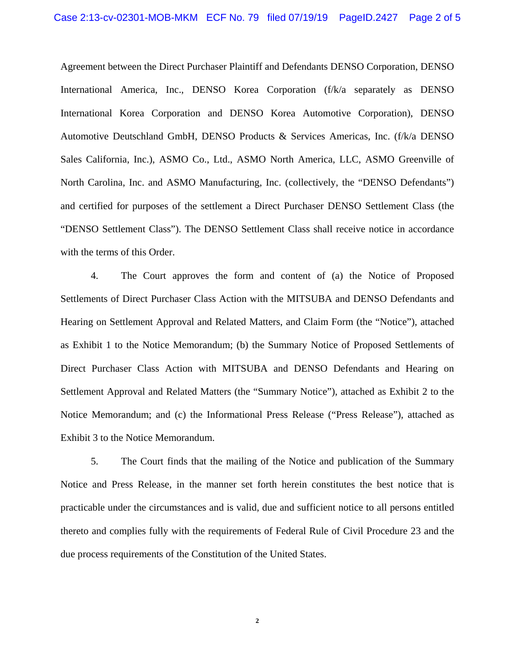Agreement between the Direct Purchaser Plaintiff and Defendants DENSO Corporation, DENSO International America, Inc., DENSO Korea Corporation (f/k/a separately as DENSO International Korea Corporation and DENSO Korea Automotive Corporation), DENSO Automotive Deutschland GmbH, DENSO Products & Services Americas, Inc. (f/k/a DENSO Sales California, Inc.), ASMO Co., Ltd., ASMO North America, LLC, ASMO Greenville of North Carolina, Inc. and ASMO Manufacturing, Inc. (collectively, the "DENSO Defendants") and certified for purposes of the settlement a Direct Purchaser DENSO Settlement Class (the "DENSO Settlement Class"). The DENSO Settlement Class shall receive notice in accordance with the terms of this Order.

4. The Court approves the form and content of (a) the Notice of Proposed Settlements of Direct Purchaser Class Action with the MITSUBA and DENSO Defendants and Hearing on Settlement Approval and Related Matters, and Claim Form (the "Notice"), attached as Exhibit 1 to the Notice Memorandum; (b) the Summary Notice of Proposed Settlements of Direct Purchaser Class Action with MITSUBA and DENSO Defendants and Hearing on Settlement Approval and Related Matters (the "Summary Notice"), attached as Exhibit 2 to the Notice Memorandum; and (c) the Informational Press Release ("Press Release"), attached as Exhibit 3 to the Notice Memorandum.

5. The Court finds that the mailing of the Notice and publication of the Summary Notice and Press Release, in the manner set forth herein constitutes the best notice that is practicable under the circumstances and is valid, due and sufficient notice to all persons entitled thereto and complies fully with the requirements of Federal Rule of Civil Procedure 23 and the due process requirements of the Constitution of the United States.

**2**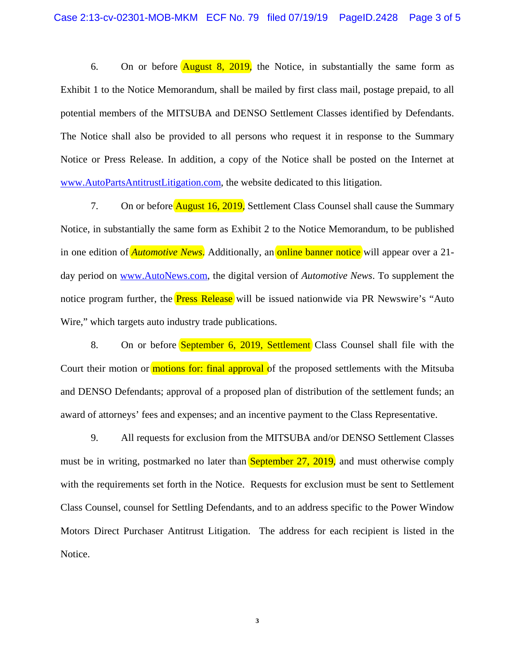6. On or before  $\overline{\text{August 8, 2019}}$ , the Notice, in substantially the same form as Exhibit 1 to the Notice Memorandum, shall be mailed by first class mail, postage prepaid, to all potential members of the MITSUBA and DENSO Settlement Classes identified by Defendants. The Notice shall also be provided to all persons who request it in response to the Summary Notice or Press Release. In addition, a copy of the Notice shall be posted on the Internet at www.AutoPartsAntitrustLitigation.com, the website dedicated to this litigation.

7. On or before **August 16, 2019**, Settlement Class Counsel shall cause the Summary Notice, in substantially the same form as Exhibit 2 to the Notice Memorandum, to be published in one edition of *Automotive News*. Additionally, an **online banner notice** will appear over a 21day period on www.AutoNews.com, the digital version of *Automotive News*. To supplement the notice program further, the **Press Release** will be issued nationwide via PR Newswire's "Auto" Wire," which targets auto industry trade publications.

8. On or before **September 6, 2019, Settlement** Class Counsel shall file with the Court their motion or motions for: final approval of the proposed settlements with the Mitsuba and DENSO Defendants; approval of a proposed plan of distribution of the settlement funds; an award of attorneys' fees and expenses; and an incentive payment to the Class Representative.

9. All requests for exclusion from the MITSUBA and/or DENSO Settlement Classes must be in writing, postmarked no later than September 27, 2019, and must otherwise comply with the requirements set forth in the Notice. Requests for exclusion must be sent to Settlement Class Counsel, counsel for Settling Defendants, and to an address specific to the Power Window Motors Direct Purchaser Antitrust Litigation. The address for each recipient is listed in the Notice.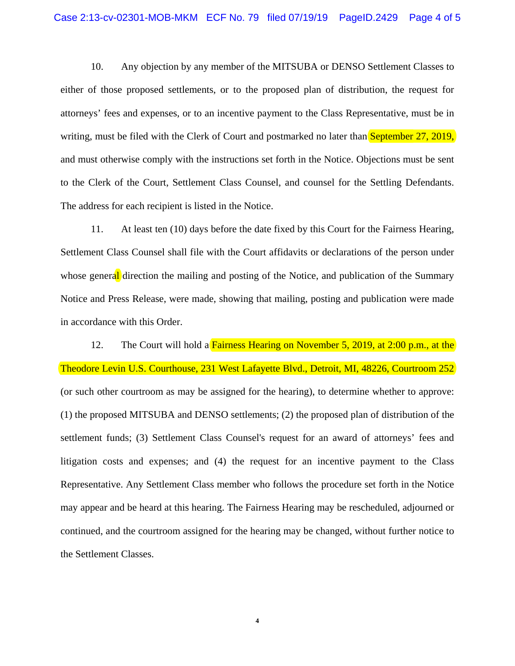10. Any objection by any member of the MITSUBA or DENSO Settlement Classes to either of those proposed settlements, or to the proposed plan of distribution, the request for attorneys' fees and expenses, or to an incentive payment to the Class Representative, must be in writing, must be filed with the Clerk of Court and postmarked no later than September 27, 2019, and must otherwise comply with the instructions set forth in the Notice. Objections must be sent to the Clerk of the Court, Settlement Class Counsel, and counsel for the Settling Defendants. The address for each recipient is listed in the Notice.

11. At least ten (10) days before the date fixed by this Court for the Fairness Hearing, Settlement Class Counsel shall file with the Court affidavits or declarations of the person under whose general direction the mailing and posting of the Notice, and publication of the Summary Notice and Press Release, were made, showing that mailing, posting and publication were made in accordance with this Order.

12. The Court will hold a Fairness Hearing on November 5, 2019, at 2:00 p.m., at the Theodore Levin U.S. Courthouse, 231 West Lafayette Blvd., Detroit, MI, 48226, Courtroom 252 (or such other courtroom as may be assigned for the hearing), to determine whether to approve: (1) the proposed MITSUBA and DENSO settlements; (2) the proposed plan of distribution of the settlement funds; (3) Settlement Class Counsel's request for an award of attorneys' fees and litigation costs and expenses; and (4) the request for an incentive payment to the Class Representative. Any Settlement Class member who follows the procedure set forth in the Notice may appear and be heard at this hearing. The Fairness Hearing may be rescheduled, adjourned or continued, and the courtroom assigned for the hearing may be changed, without further notice to the Settlement Classes.